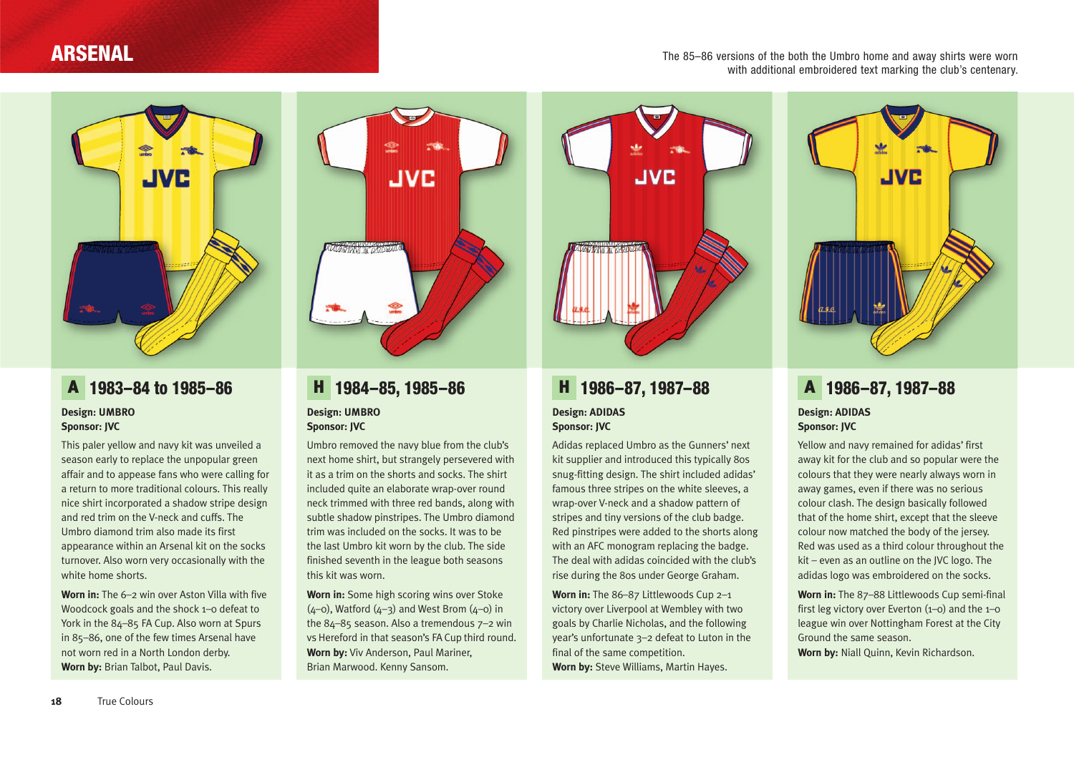### **ARSENAL**

The 85–86 versions of the both the Umbro home and away shirts were worn with additional embroidered text marking the club's centenary.



### A **1983–84 to 1985–86**

#### **Design: UMBRO Sponsor: JVC**

This paler yellow and navy kit was unveiled a season early to replace the unpopular green affair and to appease fans who were calling for a return to more traditional colours. This really nice shirt incorporated a shadow stripe design and red trim on the V-neck and cuffs. The Umbro diamond trim also made its first appearance within an Arsenal kit on the socks turnover. Also worn very occasionally with the white home shorts.

**Worn in:** The 6–2 win over Aston Villa with five Woodcock goals and the shock 1–0 defeat to York in the 84–85 FA Cup. Also worn at Spurs in 85–86, one of the few times Arsenal have not worn red in a North London derby. **Worn by:** Brian Talbot, Paul Davis.



### H **1984–85, 1985–86 Design: UMBRO Sponsor: JVC**

Umbro removed the navy blue from the club's next home shirt, but strangely persevered with it as a trim on the shorts and socks. The shirt included quite an elaborate wrap-over round neck trimmed with three red bands, along with subtle shadow pinstripes. The Umbro diamond trim was included on the socks. It was to be the last Umbro kit worn by the club. The side finished seventh in the league both seasons this kit was worn.

**Worn in:** Some high scoring wins over Stoke  $(4-0)$ , Watford  $(4-3)$  and West Brom  $(4-0)$  in the 84–85 season. Also a tremendous 7–2 win vs Hereford in that season's FA Cup third round. **Worn by:** Viv Anderson, Paul Mariner, Brian Marwood. Kenny Sansom.



## H **1986–87, 1987–88**

#### **Design: ADIDAS Sponsor: JVC**

Adidas replaced Umbro as the Gunners' next kit supplier and introduced this typically 80s snug-fitting design. The shirt included adidas' famous three stripes on the white sleeves, a wrap-over V-neck and a shadow pattern of stripes and tiny versions of the club badge. Red pinstripes were added to the shorts along with an AFC monogram replacing the badge. The deal with adidas coincided with the club's rise during the 80s under George Graham.

**Worn in:** The 86–87 Littlewoods Cup 2–1 victory over Liverpool at Wembley with two goals by Charlie Nicholas, and the following year's unfortunate 3–2 defeat to Luton in the final of the same competition. **Worn by:** Steve Williams, Martin Hayes.



#### A **1986–87, 1987–88 Design: ADIDAS Sponsor: JVC**

Yellow and navy remained for adidas' first away kit for the club and so popular were the colours that they were nearly always worn in away games, even if there was no serious colour clash. The design basically followed that of the home shirt, except that the sleeve colour now matched the body of the jersey. Red was used as a third colour throughout the kit – even as an outline on the JVC logo. The adidas logo was embroidered on the socks.

**Worn in:** The 87–88 Littlewoods Cup semi-final first leg victory over Everton (1–0) and the 1–0 league win over Nottingham Forest at the City Ground the same season.

**Worn by:** Niall Quinn, Kevin Richardson.